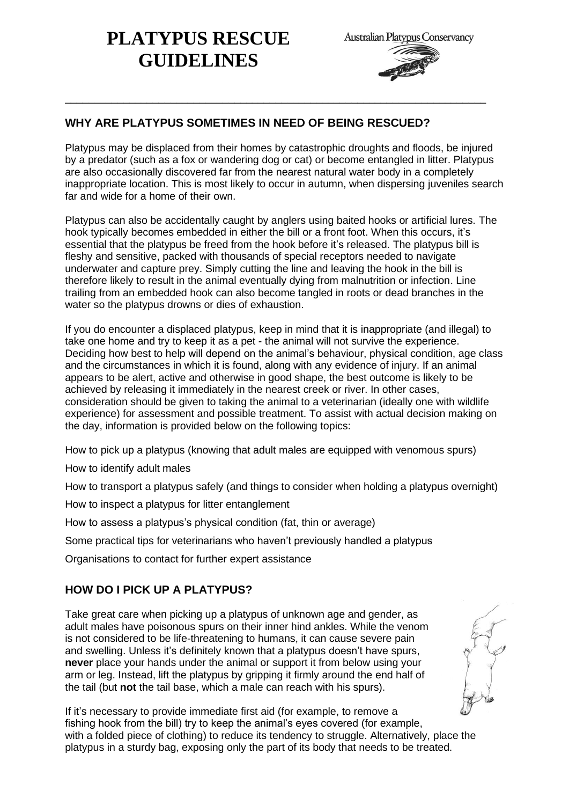# **PLATYPUS RESCUE GUIDELINES**



# **WHY ARE PLATYPUS SOMETIMES IN NEED OF BEING RESCUED?**

Platypus may be displaced from their homes by catastrophic droughts and floods, be injured by a predator (such as a fox or wandering dog or cat) or become entangled in litter. Platypus are also occasionally discovered far from the nearest natural water body in a completely inappropriate location. This is most likely to occur in autumn, when dispersing juveniles search far and wide for a home of their own.

\_\_\_\_\_\_\_\_\_\_\_\_\_\_\_\_\_\_\_\_\_\_\_\_\_\_\_\_\_\_\_\_\_\_\_\_\_\_\_\_\_\_\_\_\_\_\_\_\_\_\_\_\_\_\_\_\_\_\_\_\_\_\_\_\_\_\_\_\_\_\_\_

Platypus can also be accidentally caught by anglers using baited hooks or artificial lures. The hook typically becomes embedded in either the bill or a front foot. When this occurs, it's essential that the platypus be freed from the hook before it's released. The platypus bill is fleshy and sensitive, packed with thousands of special receptors needed to navigate underwater and capture prey. Simply cutting the line and leaving the hook in the bill is therefore likely to result in the animal eventually dying from malnutrition or infection. Line trailing from an embedded hook can also become tangled in roots or dead branches in the water so the platypus drowns or dies of exhaustion.

If you do encounter a displaced platypus, keep in mind that it is inappropriate (and illegal) to take one home and try to keep it as a pet - the animal will not survive the experience. Deciding how best to help will depend on the animal's behaviour, physical condition, age class and the circumstances in which it is found, along with any evidence of injury. If an animal appears to be alert, active and otherwise in good shape, the best outcome is likely to be achieved by releasing it immediately in the nearest creek or river. In other cases, consideration should be given to taking the animal to a veterinarian (ideally one with wildlife experience) for assessment and possible treatment. To assist with actual decision making on the day, information is provided below on the following topics:

How to pick up a platypus (knowing that adult males are equipped with venomous spurs)

How to identify adult males

How to transport a platypus safely (and things to consider when holding a platypus overnight)

How to inspect a platypus for litter entanglement

How to assess a platypus's physical condition (fat, thin or average)

Some practical tips for veterinarians who haven't previously handled a platypus

Organisations to contact for further expert assistance

#### **HOW DO I PICK UP A PLATYPUS?**

Take great care when picking up a platypus of unknown age and gender, as adult males have poisonous spurs on their inner hind ankles. While the venom is not considered to be life-threatening to humans, it can cause severe pain and swelling. Unless it's definitely known that a platypus doesn't have spurs, **never** place your hands under the animal or support it from below using your arm or leg. Instead, lift the platypus by gripping it firmly around the end half of the tail (but **not** the tail base, which a male can reach with his spurs).

If it's necessary to provide immediate first aid (for example, to remove a fishing hook from the bill) try to keep the animal's eyes covered (for example, with a folded piece of clothing) to reduce its tendency to struggle. Alternatively, place the platypus in a sturdy bag, exposing only the part of its body that needs to be treated.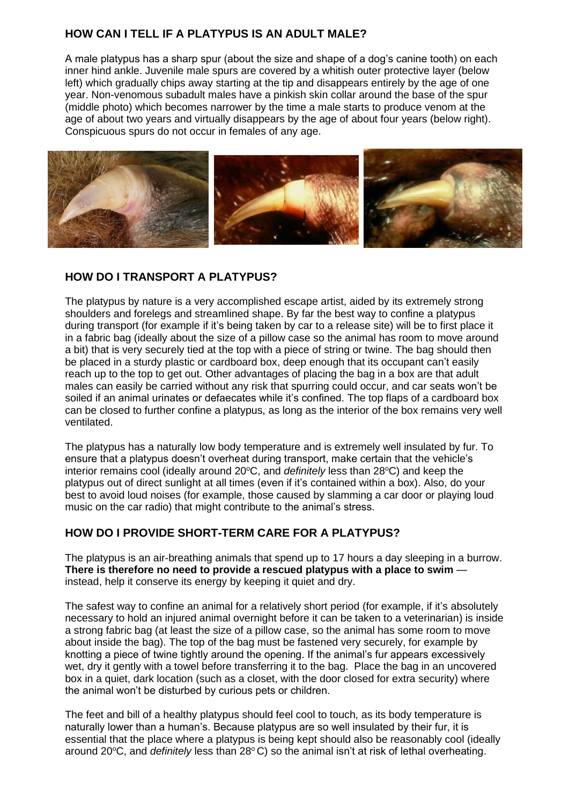#### **HOW CAN I TELL IF A PLATYPUS IS AN ADULT MALE?**

A male platypus has a sharp spur (about the size and shape of a dog's canine tooth) on each inner hind ankle. Juvenile male spurs are covered by a whitish outer protective layer (below left) which gradually chips away starting at the tip and disappears entirely by the age of one year. Non-venomous subadult males have a pinkish skin collar around the base of the spur (middle photo) which becomes narrower by the time a male starts to produce venom at the age of about two years and virtually disappears by the age of about four years (below right). Conspicuous spurs do not occur in females of any age.



#### **HOW DO I TRANSPORT A PLATYPUS?**

The platypus by nature is a very accomplished escape artist, aided by its extremely strong shoulders and forelegs and streamlined shape. By far the best way to confine a platypus during transport (for example if it's being taken by car to a release site) will be to first place it in a fabric bag (ideally about the size of a pillow case so the animal has room to move around a bit) that is very securely tied at the top with a piece of string or twine. The bag should then be placed in a sturdy plastic or cardboard box, deep enough that its occupant can't easily reach up to the top to get out. Other advantages of placing the bag in a box are that adult males can easily be carried without any risk that spurring could occur, and car seats won't be soiled if an animal urinates or defaecates while it's confined. The top flaps of a cardboard box can be closed to further confine a platypus, as long as the interior of the box remains very well ventilated.

The platypus has a naturally low body temperature and is extremely well insulated by fur. To ensure that a platypus doesn't overheat during transport, make certain that the vehicle's interior remains cool (ideally around 20°C, and *definitely* less than 28°C) and keep the platypus out of direct sunlight at all times (even if it's contained within a box). Also, do your best to avoid loud noises (for example, those caused by slamming a car door or playing loud music on the car radio) that might contribute to the animal's stress.

#### **HOW DO I PROVIDE SHORT-TERM CARE FOR A PLATYPUS?**

The platypus is an air-breathing animals that spend up to 17 hours a day sleeping in a burrow. **There is therefore no need to provide a rescued platypus with a place to swim** instead, help it conserve its energy by keeping it quiet and dry.

The safest way to confine an animal for a relatively short period (for example, if it's absolutely necessary to hold an injured animal overnight before it can be taken to a veterinarian) is inside a strong fabric bag (at least the size of a pillow case, so the animal has some room to move about inside the bag). The top of the bag must be fastened very securely, for example by knotting a piece of twine tightly around the opening. If the animal's fur appears excessively wet, dry it gently with a towel before transferring it to the bag. Place the bag in an uncovered box in a quiet, dark location (such as a closet, with the door closed for extra security) where the animal won't be disturbed by curious pets or children.

The feet and bill of a healthy platypus should feel cool to touch, as its body temperature is naturally lower than a human's. Because platypus are so well insulated by their fur, it is essential that the place where a platypus is being kept should also be reasonably cool (ideally around 20°C, and *definitely* less than 28°C) so the animal isn't at risk of lethal overheating.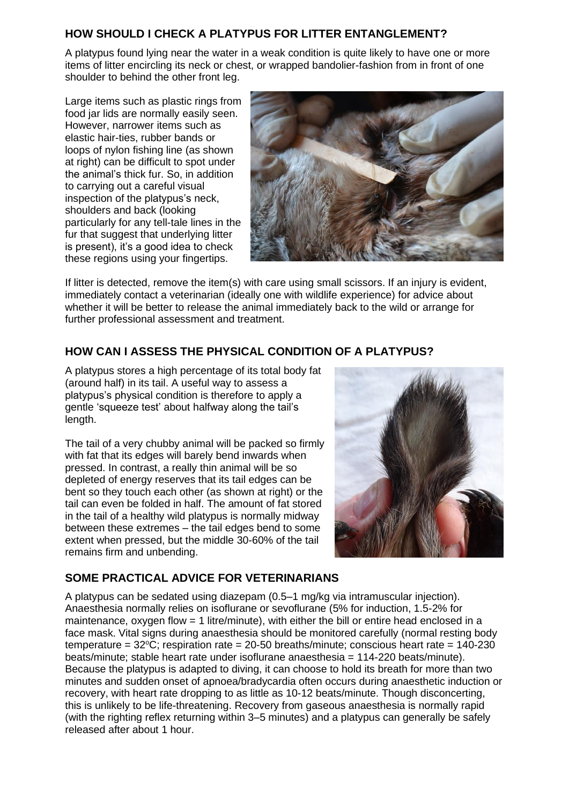#### **HOW SHOULD I CHECK A PLATYPUS FOR LITTER ENTANGLEMENT?**

A platypus found lying near the water in a weak condition is quite likely to have one or more items of litter encircling its neck or chest, or wrapped bandolier-fashion from in front of one shoulder to behind the other front leg.

Large items such as plastic rings from food jar lids are normally easily seen. However, narrower items such as elastic hair-ties, rubber bands or loops of nylon fishing line (as shown at right) can be difficult to spot under the animal's thick fur. So, in addition to carrying out a careful visual inspection of the platypus's neck, shoulders and back (looking particularly for any tell-tale lines in the fur that suggest that underlying litter is present), it's a good idea to check these regions using your fingertips.



If litter is detected, remove the item(s) with care using small scissors. If an injury is evident, immediately contact a veterinarian (ideally one with wildlife experience) for advice about whether it will be better to release the animal immediately back to the wild or arrange for further professional assessment and treatment.

# **HOW CAN I ASSESS THE PHYSICAL CONDITION OF A PLATYPUS?**

A platypus stores a high percentage of its total body fat (around half) in its tail. A useful way to assess a platypus's physical condition is therefore to apply a gentle 'squeeze test' about halfway along the tail's length.

The tail of a very chubby animal will be packed so firmly with fat that its edges will barely bend inwards when pressed. In contrast, a really thin animal will be so depleted of energy reserves that its tail edges can be bent so they touch each other (as shown at right) or the tail can even be folded in half. The amount of fat stored in the tail of a healthy wild platypus is normally midway between these extremes – the tail edges bend to some extent when pressed, but the middle 30-60% of the tail remains firm and unbending.



#### **SOME PRACTICAL ADVICE FOR VETERINARIANS**

A platypus can be sedated using diazepam (0.5–1 mg/kg via intramuscular injection). Anaesthesia normally relies on isoflurane or sevoflurane (5% for induction, 1.5-2% for maintenance, oxygen flow = 1 litre/minute), with either the bill or entire head enclosed in a face mask. Vital signs during anaesthesia should be monitored carefully (normal resting body temperature =  $32^{\circ}$ C; respiration rate =  $20-50$  breaths/minute; conscious heart rate =  $140-230$ beats/minute; stable heart rate under isoflurane anaesthesia = 114-220 beats/minute). Because the platypus is adapted to diving, it can choose to hold its breath for more than two minutes and sudden onset of apnoea/bradycardia often occurs during anaesthetic induction or recovery, with heart rate dropping to as little as 10-12 beats/minute. Though disconcerting, this is unlikely to be life-threatening. Recovery from gaseous anaesthesia is normally rapid (with the righting reflex returning within 3–5 minutes) and a platypus can generally be safely released after about 1 hour.